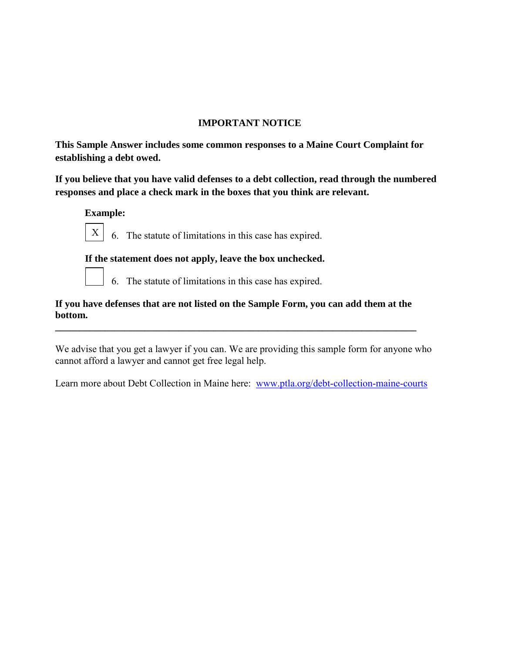## **IMPORTANT NOTICE**

**This Sample Answer includes some common responses to a Maine Court Complaint for establishing a debt owed.** 

**If you believe that you have valid defenses to a debt collection, read through the numbered responses and place a check mark in the boxes that you think are relevant.** 

 **Example:** 



6. The statute of limitations in this case has expired.

## **If the statement does not apply, leave the box unchecked.**



6. The statute of limitations in this case has expired.

**If you have defenses that are not listed on the Sample Form, you can add them at the bottom.** 

**\_\_\_\_\_\_\_\_\_\_\_\_\_\_\_\_\_\_\_\_\_\_\_\_\_\_\_\_\_\_\_\_\_\_\_\_\_\_\_\_\_\_\_\_\_\_\_\_\_\_\_\_\_\_\_\_\_\_\_\_\_\_\_\_\_\_\_\_\_\_\_\_\_** 

We advise that you get a lawyer if you can. We are providing this sample form for anyone who cannot afford a lawyer and cannot get free legal help.

Learn more about Debt Collection in Maine here: www.ptla.org/debt-collection-maine-courts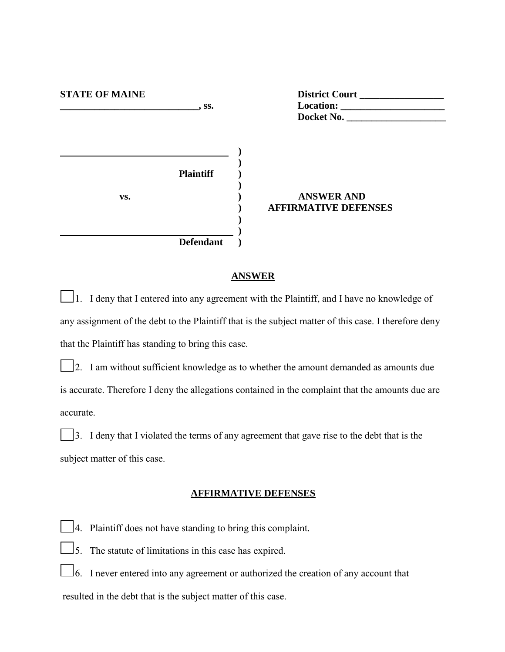| <b>STATE OF MAINE</b> | $\sim$ SS.                           | District Court<br>Docket No.                     |
|-----------------------|--------------------------------------|--------------------------------------------------|
| VS.                   | <b>Plaintiff</b><br><b>Defendant</b> | <b>ANSWER AND</b><br><b>AFFIRMATIVE DEFENSES</b> |
|                       |                                      |                                                  |

#### **ANSWER**

 1. I deny that I entered into any agreement with the Plaintiff, and I have no knowledge of any assignment of the debt to the Plaintiff that is the subject matter of this case. I therefore deny that the Plaintiff has standing to bring this case.

 2. I am without sufficient knowledge as to whether the amount demanded as amounts due is accurate. Therefore I deny the allegations contained in the complaint that the amounts due are accurate.

 3. I deny that I violated the terms of any agreement that gave rise to the debt that is the subject matter of this case.

### **AFFIRMATIVE DEFENSES**

4. Plaintiff does not have standing to bring this complaint.

 $\Box$ 5. The statute of limitations in this case has expired.

 6. I never entered into any agreement or authorized the creation of any account that resulted in the debt that is the subject matter of this case.